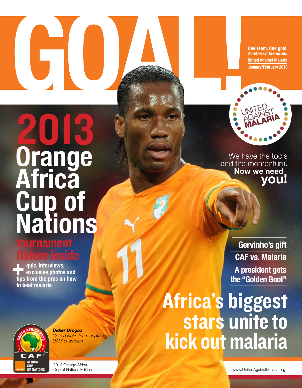**GOAL! One team. One goal. United, we can beat malaria. United Against Malaria January/February 2013**

## **Orange Africa Cup of Nations**  2013 ournament

## fixture inside

 **quiz, interviews, exclusive photos and exclusive photos and tips from the pros on how to beat malaria**



*Didier Drogba Côte d'Ivoire team captain, UAM champion*

2013 Orange Africa Cup of Nations Edition and Cup of Nations Edition and Cup of Nations Edition and Cup of Nations Edition and Cup of Nations Edition and Cup of Nations and Cup of National Act of the UnitedAgainstMalaria.org

# Africa's biggest stars unite to kick out malaria

We have the tools and the momentum.  **Now we need you!**

> **Gervinho's gift CAF vs. Malaria A president gets the "Golden Boot"**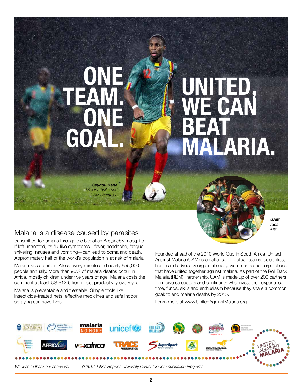### *Seydou Keita Mali footballer and*

*UAM champion*

**ONE** 

**ONE** 

**TEAM.**

 $G(0)$ 

## **UNITED, WE CAN BEAT MALARIA.**

*UAM fans Mali*

### Malaria is a disease caused by parasites

transmitted to humans through the bite of an *Anopheles* mosquito. If left untreated, its flu-like symptoms—fever, headache, fatigue, shivering, nausea and vomiting—can lead to coma and death. Approximately half of the world's population is at risk of malaria.

Malaria kills a child in Africa every minute and nearly 655,000 people annually. More than 90% of malaria deaths occur in Africa, mostly children under five years of age. Malaria costs the continent at least US \$12 billion in lost productivity every year.

Malaria is preventable and treatable. Simple tools like insecticide-treated nets, effective medicines and safe indoor spraying can save lives.

Founded ahead of the 2010 World Cup in South Africa, United Against Malaria (UAM) is an alliance of football teams, celebrities, health and advocacy organizations, governments and corporations that have united together against malaria. As part of the Roll Back Malaria (RBM) Partnership, UAM is made up of over 200 partners from diverse sectors and continents who invest their experience, time, funds, skills and enthusiasm because they share a common goal: to end malaria deaths by 2015.

Learn more at www.UnitedAgainstMalaria.org.

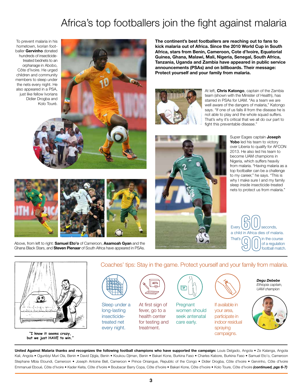## Africa's top footballers join the fight against malaria

To prevent malaria in his hometown, Ivorian footballer **Gervinho** donated hundreds of insecticidetreated bednets to an orphanage in Abobo, Côte d'Ivoire. He urged children and community members to sleep under the nets every night. He also appeared in a PSA, just like fellow Ivorians Didier Drogba and Kolo Touré.



**The continent's best footballers are reaching out to fans to kick malaria out of Africa. Since the 2010 World Cup in South Africa, stars from Benin, Cameroon, Cote d'Ivoire, Equatorial Guinea, Ghana, Malawi, Mali, Nigeria, Senegal, South Africa, Tanzania, Uganda and Zambia have appeared in public service announcements (PSAs) and on billboards. Their message: Protect yourself and your family from malaria.**



At left, **Chris Katongo**, captain of the Zambia team (shown with the Minister of Health), has starred in PSAs for UAM. "As a team we are well aware of the dangers of malaria," Katongo says. "If one of us falls ill from the disease he is not able to play and the whole squad suffers. That's why it's critical that we all do our part to fight this preventable disease."



Super Eages captain **Joseph**  Yobo led his team to victory over Liberia to qualify for AFCON 2013. He also led his team to become UAM champions in Nigeria, which suffers heavily from malaria. "Having malaria as a top footballer can be a challenge to my career," he says. "This is why I make sure I and my family sleep inside insecticide-treated nets to protect us from malaria."





Ghana Black Stars, and **Steven Pienaar** of South Africa have appeared in PSAs.



**"I know it seems crazy, but we just HAVE to win."**

Coaches' tips: Stay in the game. Protect yourself and your family from malaria.



long-lasting insecticidetreated net every night.



At first sign of fever, go to a health center for testing and treatment.



**Pregnant** women should seek antenatal care early.



your area, participate in indoor residual

spraying campaigns. *Degu Debebe Ethiopia captain, UAM champion*



United Against Malaria thanks and recognizes the following football champions who have supported the campaign: Louis Delgado, Angola • Ze Kalanga, Angola Kali, Angola • Ogunbiyi Muri Ola, Benin • David Djigla, Benin • Koukou Djiman, Benin • Bakari Kone, Burkina Faso • Charles Kabore, Burkina Faso • Samuel Eto'o, Cameroon Stephane Mbia Etoundi, Cameroon • Joseph Antoine Bell, Cameroon • Prince Oniangue, Republic of the Congo • Didier Drogba, Côte d'Ivoire • Gervinho, Côte d'Ivoire Emmanuel Eboué, Côte d'Ivoire • Kader Keita, Côte d'Ivoire • Boubacar Barry Copa, Côte d'Ivoire • Bakari Kone, Côte d'Ivoire • Kolo Toure, Côte d'Ivoire *(continued, pgs 6-7)*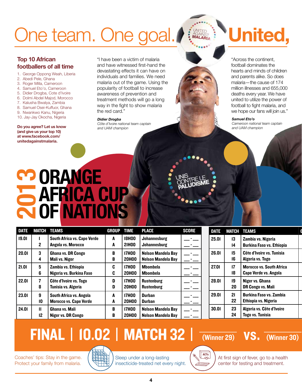## One team. One goal. **With a United,**

### **Top 10 African footballers of all time**

- 1. George Oppong Weah, Liberia
- 2. Abedi Pele, Ghana
- 3. Roger Milla, Cameroon
- 4. Samuel Eto'o, Cameroon
- 5. Didier Drogba, Cote d'Ivoire 6. Dolmi Abdel Majod, Morocco
- 7. Kalusha Bwalya, Zambia
- 8. Samuel Osei-Kuffuor, Ghana
- 9. Nwankwo Kanu, Nigeria
- 10. Jay-Jay Okocha, Nigeria

**Do you agree? Let us know (and give us your top 10) at www.facebook.com/ unitedagainstmalaria.**

"I have been a victim of malaria and have witnessed first-hand the devastating effects it can have on individuals and families. We need malaria out of the game. Using the popularity of football to increase awareness of prevention and treatment methods will go a long way in the fight to show malaria the red card."

*Didier Drogba Côte d'Ivoire national team captain and UAM champion*



"Across the continent, football dominates the hearts and minds of children and parents alike. So does malaria—the cause of 174 million illnesses and 655,000 deaths every year. We have united to utilize the power of football to fight malaria, and we hope our fans will join us."

### *Samuel Eto'o*

*Cameroon national team captain and UAM champion*

## **ORANGE AFRICA CUP 2013 OF NATIONS**

| <b>DATE</b> |                    | <b>MATCH TEAMS</b>                                       | GROUP  | <b>TIME</b>                  | <b>PLACE</b>                                    | <b>SCORE</b> | <b>DATE</b> |                       | <b>MATCH TEAMS</b>                                       |
|-------------|--------------------|----------------------------------------------------------|--------|------------------------------|-------------------------------------------------|--------------|-------------|-----------------------|----------------------------------------------------------|
| 19.01       | 2                  | <b>South Africa vs. Cape Verde</b><br>Angola vs. Morocco | A<br>A | <b>18H00</b><br><b>21H00</b> | <b>Johannesburg</b><br><b>Johannesburg</b>      |              | 25.01       | 13<br>$\overline{14}$ | Zambia vs. Nigeria<br><b>Burkina Faso vs. Ethiopia</b>   |
| 20.01       | 3<br>4             | <b>Ghana vs. DR Congo</b><br>Mali vs. Niger              | B<br>B | <b>I7H00</b><br><b>20H00</b> | <b>Nelson Mandela Bay</b><br>Nelson Mandela Bay |              | 26.01       | 15<br>16              | Côte d'Ivoire vs. Tunisia<br>Algeria vs. Togo            |
| 21.01       | 5<br>6             | Zambia vs. Ethiopia<br>Nigeria vs. Burkina Faso          | C<br>ы | <b>I7H00</b><br><b>20H00</b> | <b>Mbombela</b><br><b>Mbombela</b>              |              | 27.01       | 17<br>18              | <b>Morocco vs. South Africa</b><br>Cape Verde vs. Angola |
| 22.01       | 8                  | Côte d'Ivoire vs. Togo<br>Tunisia vs. Algeria            | D<br>D | <b>I7H00</b><br><b>20H00</b> | Rustenburg<br><b>Rustenburg</b>                 |              | 28.01       | 19<br>20              | Niger vs. Ghana<br>DR Congo vs. Mali                     |
| 23.01       | 9<br>10            | South Africa vs. Angola<br><b>Morocco vs. Cape Verde</b> | A<br>A | <b>I7H00</b><br><b>20H00</b> | <b>Durban</b><br><b>Durban</b>                  |              | 29.01       | 21<br>22              | <b>Burkina Faso vs. Zambia</b><br>Ethiopia vs. Nigeria   |
| 24.01       | $\mathbf{I}$<br>12 | Ghana vs. Mali<br><b>Niger vs. DR Congo</b>              | B<br>B | <b>I7H00</b><br><b>20H00</b> | Nelson Mandela Bay<br><b>Nelson Mandela Bay</b> |              | 30.01       | 23<br>24              | Algeria vs. Côte d'Ivoire<br>Togo vs. Tunisia            |

## FINAL | 10.02 | MATCH 32 |  $\frac{1}{2}$  (Winner 29) VS. (Winner 30)

Coaches' tips: Stay in the game. Protect your family from malaria.



Sleep under a long-lasting insecticide-treated net every night.



At first sign of fever, go to a health center for testing and treatment.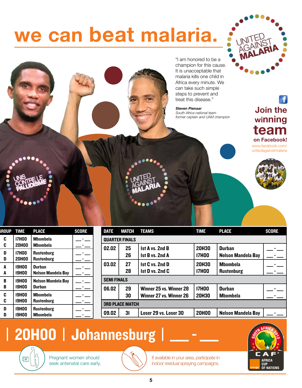# **we can beat malaria.**



"I am honored to be a champion for this cause. It is unacceptable that malaria kills one child in Africa every minute. We can take such simple steps to prevent and treat this disease."

*Steven Pienaar South Africa national team former captain and UAM champion*

**Join the winning team on Facebook!**

www.facebook.com/ unitedagainstmalaria



| <b>ROUP</b> | <b>TIME</b>  | <b>PLACE</b>              | <b>SCORE</b> |
|-------------|--------------|---------------------------|--------------|
| C           | <b>I7H00</b> | <b>Mbombela</b>           |              |
| C           | <b>20H00</b> | <b>Mbombela</b>           |              |
| D           | <b>I7H00</b> | <b>Rustenburg</b>         |              |
| D           | <b>20H00</b> | <b>Rustenburg</b>         |              |
| A           | <b>19H00</b> | <b>Durban</b>             |              |
| A           | <b>I9H00</b> | <b>Nelson Mandela Bay</b> |              |
| B           | <b>19H00</b> | <b>Nelson Mandela Bay</b> |              |
| B           | <b>I9H00</b> | <b>Durban</b>             |              |
| C           | <b>19H00</b> | <b>Mbombela</b>           |              |
| C           | <b>I9H00</b> | <b>Rustenburg</b>         |              |
| D           | <b>19H00</b> | <b>Rustenburg</b>         |              |
| D           | <b>I9H00</b> | <b>Mbombela</b>           |              |

**SP**

| <b>MATCH</b>           | <b>TEAMS</b>            | <b>TIME</b>  | <b>PLACE</b>              | <b>SCORE</b> |  |  |  |  |  |
|------------------------|-------------------------|--------------|---------------------------|--------------|--|--|--|--|--|
| <b>QUARTER FINALS</b>  |                         |              |                           |              |  |  |  |  |  |
| 25                     | <b>Ist A vs. 2nd B</b>  | 20H30        | <b>Durban</b>             |              |  |  |  |  |  |
| 26                     | <b>Ist B vs. 2nd A</b>  | <b>I7H00</b> | <b>Nelson Mandela Bay</b> |              |  |  |  |  |  |
| 27                     | <b>Ist C vs. 2nd D</b>  | 20H30        | <b>Mbombela</b>           |              |  |  |  |  |  |
| 28                     | <b>Ist D vs. 2nd C</b>  | <b>I7H00</b> | <b>Rustenburg</b>         |              |  |  |  |  |  |
| <b>SEMI FINALS</b>     |                         |              |                           |              |  |  |  |  |  |
| 29                     | Winner 25 vs. Winner 28 | <b>I7H00</b> | <b>Durban</b>             |              |  |  |  |  |  |
| 30                     | Winner 27 vs. Winner 26 | 20H30        | <b>Mbombela</b>           |              |  |  |  |  |  |
| <b>3RD PLACE MATCH</b> |                         |              |                           |              |  |  |  |  |  |
| 31                     | Loser 29 vs. Loser 30   | <b>20H00</b> | <b>Nelson Mandela Bay</b> |              |  |  |  |  |  |
|                        |                         |              |                           |              |  |  |  |  |  |

| 20H00 | Johannesburg | \_\_\_ -

Pregnant women should seek antenatal care early.

If available in your area, participate in indoor residual spraying campaigns.

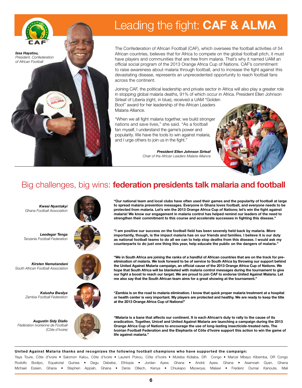

*Issa Hayatou, President, Confederation of African Football*

## Leading the fight: **CAF & ALMA**

The Confederation of African Football (CAF), which oversees the football activities of 54 African countries, believes that for Africa to compete on the global football pitch, it must have players and communities that are free from malaria. That's why it named UAM an official social program of the 2013 Orange Africa Cup of Nations. CAF's commitment to raise awareness about malaria through football, and to increase the fight against this devastating disease, represents an unprecedented opportunity to reach football fans across the continent.

Joining CAF, the political leadership and private sector in Africa will also play a greater role in stopping global malaria deaths, 91% of which occur in Africa. President Ellen Johnson Sirleaf of Liberia (right, in blue), received a UAM "Golden

Boot" award for her leadership of the African Leaders Malaria Alliance.

"When we all fight malaria together, we build stronger nations and save lives," she said. "As a football fan myself, I understand the game's power and popularity. We have the tools to win against malaria, and I urge others to join us in the fight."

> *President Ellen Johnson Sirleaf Chair of the African Leaders Malaria Alliance*



## Big challenges, big wins: **federation presidents talk malaria and football**

*Kwesi Nyantakyi Ghana Football Association*





**"Our national team and local clubs have often used their games and the popularity of football at large to spread malaria prevention messages. Everyone in Ghana loves football, and everyone needs to be protected from malaria. Let's win the 2013 Orange Africa Cup of Nations; let's win the fight against malaria! We know our engagement in malaria control has helped remind our leaders of the need to strengthen their commitment to this course and accelerate successes in fighting this disease."** 

**"I am positive our success on the football field has been severely held back by malaria. More importantly, though, is the impact malaria has on our friends and families. I believe it is our duty as national football teams to do all we can to help stop deaths from this disease. I would ask my counterparts to do just one thing this year, help educate the public on the dangers of malaria."** 

**"We in South Africa are joining the ranks of a handful of African countries that are on the track for preelimination of malaria. We look forward to be of service to South Africa by throwing our support behind the United Against Malaria campaign, an official cause of the 2013 Orange Africa Cup of Nations. We hope that South Africa will be blanketed with malaria control messages during the tournament to give our fight a boost to reach our target. We are proud to join CAF to endorse United Against Malaria. Let me also say that the South African team aims for a great showing at the tournament."** 

**"Zambia is on the road to malaria elimination. I know that quick proper malaria treatment at a hospital or health center is very important. My players are protected and healthy. We are ready to keep the title at the 2013 Orange Africa Cup of Nations!"** 

**"Malaria is a bane that affects our continent. It is each African's duty to rally to the cause of its eradication. Together, Unicef and United Against Malaria are launching a campaign during the 2013 Orange Africa Cup of Nations to encourage the use of long-lasting insecticide-treated nets. The Ivoirian Football Federation and the Elephants of Côte d'Ivoire support this action to win the game of life against malaria."**

#### **United Against Malaria thanks and recognizes the following football champions who have supported the campaign:**

Yaya Toure, Côte d'Ivoire • Salomon Kalou, Côte d'Ivoire • Laurent Pokou, Côte d'Ivoire • Muteba Kidiaba, DR Congo • Marcel Mbayo Kibemba, DR Congo Rodolfo Bodipo, Equatorial Guinea • Degu Debebe, Ethiopia • Jordan Ayew, Ghana • André Ayew, Ghana • Asamoah Gyan, Ghana Michael Essien, Ghana • Stephen Appiah, Ghana • Denis Olliech, Kenya • Chiukepo Msowoya, Malawi • Frederic Oumar Kanoute, Mali

*Leodegar Tenga*

*Tanzania Football Federation*

*Kirsten Nematandani South African Football Association*

> *Kalusha Bwalya Zambia Football Federation*





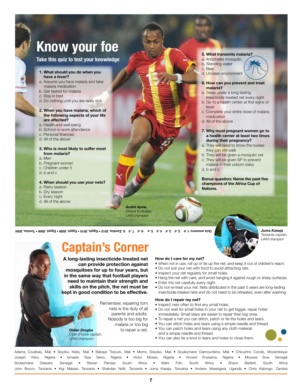## **Know your foe**

**Take this quiz to test your knowledge**

- **1. What should you do when you have a fever?**
- a. Assume you have malaria and take malaria medication
- b. Get tested for malaria
- c. Stay in bed
- d. Do nothing until you are really sick
- **2. When you have malaria, which of the following aspects of your life are affected?**
- a. Health and well-being
- b. School or work attendance
- c. Personal finances
- d. All of the above

### **3. Who is most likely to suffer most from malaria?**

- a. Men
- b. Pregnant women
- c. Children under 5
- d. b and c

### **4. When should you use your nets?**

- a. Rainy season
- b. Dry season
- c. Every night
- d. All of the above

*André Ayew, Ghana footballer, UAM champion*

#### **5. What transmits malaria?**

- a. *Anopheles* mosquito
- b. Standing water
- c. Beer
- d. Unclean environment

#### **6. How can you prevent and treat malaria?**

- a. Sleep under a long-lasting insecticide-treated net every night
- b. Go to a health center at first signs of fever
- c. Complete your entire dose of malaria medication
- d. All of the above
- **7. Why must pregnant women go to a health center at least two times during their pregnancy?**
- a. They will need to show the nurses they can still walk
- b. They will be given a mosquito net
- c. They will be given SP to prevent
- malaria in their unborn baby d. b and c

**Bonus question: Name the past five champions of the Africa Cup of Nations.**

**unisia, 2004 Quiz answers: 1. b 2. d 3. d 4. d 5. a 6. d 7. d 8. Zambia, 2012 • Egypt, 2010 • Egypt, 2008 • Egypt, 2006 • T**

## **Captain's Corner**

**A long-lasting insecticide-treated net can provide protection against mosquitoes for up to four years, but in the same way that football players need to maintain their strength and skills on the pitch, the net must be kept in good condition to be effective.**

> Remember, repairing torn nets is the duty of all parents and adults. Nobody is too big for malaria or too big to repair a net.

*Didier Drogba Cote d'Ivoire captain, UAM champion*

#### **How do I care for my net?**

- When not in use, roll up or tie up the net, and keep it out of children's reach.
- Do not soil your net with food to avoid attracting rats.
- Inspect your net regularly for small holes.
- Hang the net with care, and avoid hanging it against rough or sharp surfaces.
- Enter the net carefully every night.
- Do not re-treat your net. Nets distributed in the past 5 years are long-lasting insecticide-treated nets and do not need to be retreated, even after washing.

#### **How do I repair my net?**

- Inspect nets often to find any small holes.
- Do not wait for small holes in your net to get bigger, repair holes immediately. Small tears are easier to repair than big ones.
- To repair a net you can stitch, patch or tie the holes and tears.
- You can stitch holes and tears using a simple needle and thread.
- You can patch holes and tears using any cloth material and a simple needle and thread. • You can also tie a knot in tears and holes to close them.



*Juma Kaseja Tanzania captain, UAM champion*

Adama Coulibaly, Mali • Seydou Keita, Mali • Bakaye Traoure, Mali • Momo Sissoko, Mali • Souleymane Diamountene, Mali • Chicuinho Conde, Mozambique

Joseph Yobo, Nigeria • Ismaelo Taye Taiwo, Nigeria • Victor Moses, Nigeria • Vincent Enyeama, Nigeria • Moussa Sow, Senegal Souleymane Diawara, Senegal • Steven Pienaar, South Africa • Mark Fish, South Africa • Shaun Bartlett, South Africa John Bocco, Tanzania • Kigi Makasi, Tanzania • Shabdan Nditi, Tanzania • Juma Kaseja, Tanzania • Andrew Mwesigwa, Uganda • Chris Katongo, Zambia